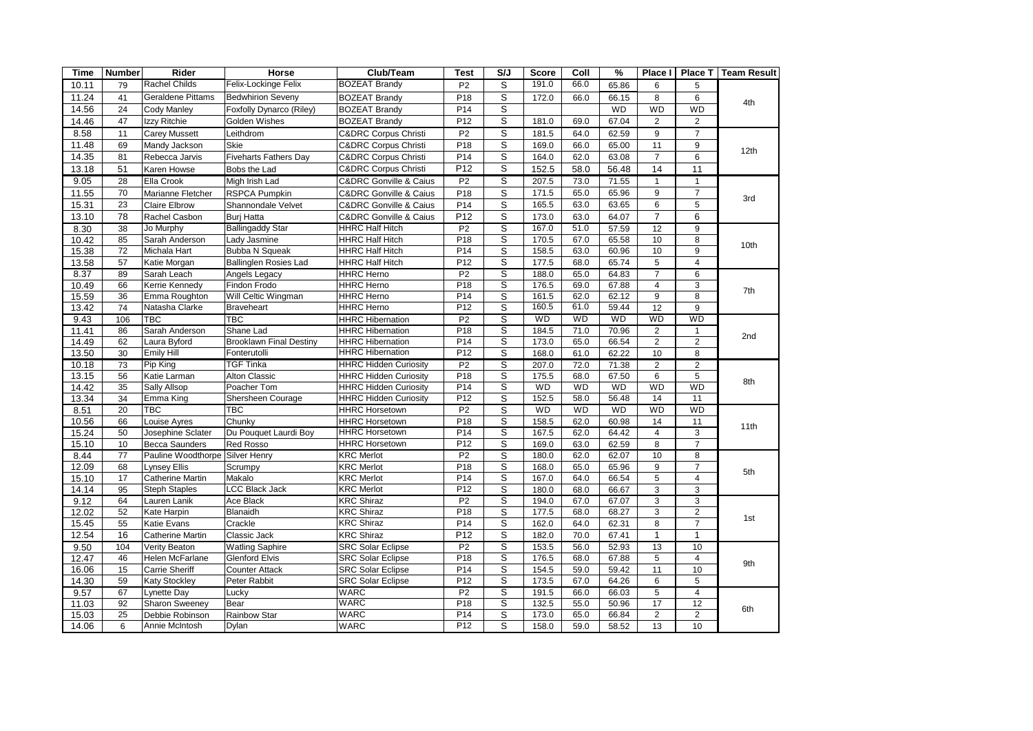| <b>Time</b>    | <b>Number</b>   | Rider                                       | Horse                                          | Club/Team                                            | <b>Test</b>           | S/J                     | <b>Score</b>   | Coll         | %              | <b>Place</b>            | Place T                          | <b>Team Result</b> |
|----------------|-----------------|---------------------------------------------|------------------------------------------------|------------------------------------------------------|-----------------------|-------------------------|----------------|--------------|----------------|-------------------------|----------------------------------|--------------------|
| 10.11          | 79              | <b>Rachel Childs</b>                        | Felix-Lockinge Felix                           | <b>BOZEAT Brandy</b>                                 | P <sub>2</sub>        | S                       | 191.0          | 66.0         | 65.86          | 6                       | 5                                |                    |
| 11.24          | 41              | <b>Geraldene Pittams</b>                    | <b>Bedwhirion Seveny</b>                       | <b>BOZEAT Brandy</b>                                 | P18                   | S                       | 172.0          | 66.0         | 66.15          | 8                       | 6                                | 4th                |
| 14.56          | 24              | <b>Cody Manley</b>                          | Foxfolly Dynarco (Riley)                       | <b>BOZEAT Brandy</b>                                 | P <sub>14</sub>       | S                       |                |              | <b>WD</b>      | <b>WD</b>               | <b>WD</b>                        |                    |
| 14.46          | 47              | Izzv Ritchie                                | Golden Wishes                                  | <b>BOZEAT Brandy</b>                                 | P <sub>12</sub>       | S                       | 181.0          | 69.0         | 67.04          | $\overline{2}$          | $\overline{2}$                   |                    |
| 8.58           | 11              | <b>Carey Mussett</b>                        | Leithdrom                                      | <b>C&amp;DRC Corpus Christi</b>                      | P <sub>2</sub>        | $\overline{s}$          | 181.5          | 64.0         | 62.59          | 9                       | $\overline{7}$                   |                    |
| 11.48          | 69              | Mandy Jackson                               | <b>Skie</b>                                    | <b>C&amp;DRC Corpus Christi</b>                      | P <sub>18</sub>       | $\overline{s}$          | 169.0          | 66.0         | 65.00          | 11                      | 9                                |                    |
| 14.35          | 81              | Rebecca Jarvis                              | <b>Fiveharts Fathers Day</b>                   | <b>C&amp;DRC Corpus Christi</b>                      | P14                   | S                       | 164.0          | 62.0         | 63.08          | $\overline{7}$          | 6                                | 12th               |
| 13.18          | 51              | Karen Howse                                 | Bobs the Lad                                   | <b>C&amp;DRC Corpus Christi</b>                      | P <sub>12</sub>       | S                       | 152.5          | 58.0         | 56.48          | 14                      | 11                               |                    |
| 9.05           | 28              | Ella Crook                                  | Migh Irish Lad                                 | <b>C&amp;DRC Gonville &amp; Caius</b>                | P <sub>2</sub>        | S                       | 207.5          | 73.0         | 71.55          | $\mathbf{1}$            | $\mathbf{1}$                     |                    |
| 11.55          | 70              | Marianne Fletcher                           | <b>RSPCA Pumpkin</b>                           | <b>C&amp;DRC Gonville &amp; Caius</b>                | P <sub>18</sub>       | $\overline{\mathsf{s}}$ | 171.5          | 65.0         | 65.96          | $\overline{9}$          | $\overline{7}$                   |                    |
| 15.31          | 23              | <b>Claire Elbrow</b>                        | Shannondale Velvet                             | <b>C&amp;DRC Gonville &amp; Caius</b>                | P14                   | S                       | 165.5          | 63.0         | 63.65          | 6                       | 5                                | 3rd                |
| 13.10          | 78              | Rachel Casbon                               | Buri Hatta                                     | <b>C&amp;DRC Gonville &amp; Caius</b>                | P <sub>12</sub>       | S                       | 173.0          | 63.0         | 64.07          | $\overline{7}$          | 6                                |                    |
| 8.30           | 38              | Jo Murphy                                   | <b>Ballingaddy Star</b>                        | <b>HHRC Half Hitch</b>                               | P <sub>2</sub>        | ड                       | 167.0          | 51.0         | 57.59          | 12                      | 9                                |                    |
| 10.42          | 85              | Sarah Anderson                              | Lady Jasmine                                   | <b>HHRC Half Hitch</b>                               | P18                   | S                       | 170.5          | 67.0         | 65.58          | 10                      | 8                                | 10th               |
| 15.38          | 72              | Michala Hart                                | <b>Bubba N Squeak</b>                          | <b>HHRC Half Hitch</b>                               | P14                   | $\overline{\mathsf{s}}$ | 158.5          | 63.0         | 60.96          | 10                      | 9                                |                    |
| 13.58          | 57              | Katie Morgan                                | <b>Ballinglen Rosies Lad</b>                   | <b>HHRC Half Hitch</b>                               | P12                   | S                       | 177.5          | 68.0         | 65.74          | 5                       | $\overline{4}$                   |                    |
| 8.37           | 89              | Sarah Leach                                 | Angels Legacy                                  | <b>HHRC Herno</b>                                    | P <sub>2</sub>        | $\overline{s}$          | 188.0          | 65.0         | 64.83          | $\overline{7}$          | $6\overline{6}$                  |                    |
| 10.49          | 66              | Kerrie Kennedy                              | Findon Frodo                                   | <b>HHRC Herno</b>                                    | P18                   | S                       | 176.5          | 69.0         | 67.88          | $\overline{4}$          | 3                                |                    |
| 15.59          | 36              | Emma Roughton                               | Will Celtic Wingman                            | <b>HHRC Herno</b>                                    | P <sub>14</sub>       | S                       | 161.5          | 62.0         | 62.12          | 9                       | 8                                | 7th                |
| 13.42          | 74              | Natasha Clarke                              | Braveheart                                     | <b>HHRC Herno</b>                                    | P <sub>12</sub>       | $\overline{s}$          | 160.5          | 61.0         | 59.44          | $\overline{12}$         | 9                                |                    |
| 9.43           | 106             | <b>TBC</b>                                  | $\overline{\text{TBC}}$                        | <b>HHRC Hibernation</b>                              | P <sub>2</sub>        | S                       | <b>WD</b>      | <b>WD</b>    | <b>WD</b>      | <b>WD</b>               | WD                               |                    |
| 11.41          | 86              | Sarah Anderson                              | Shane Lad                                      | <b>HHRC Hibernation</b>                              | P18                   | S                       | 184.5          | 71.0         | 70.96          | $\overline{2}$          | $\mathbf{1}$                     | 2nd                |
| 14.49          | 62              | Laura Byford                                | <b>Brooklawn Final Destiny</b>                 | <b>HHRC Hibernation</b>                              | P <sub>14</sub>       | S                       | 173.0          | 65.0         | 66.54          | $\overline{2}$          | $\overline{2}$                   |                    |
| 13.50          | 30              | <b>Emily Hill</b>                           | Fonterutolli                                   | <b>HHRC Hibernation</b>                              | P12                   | S                       | 168.0          | 61.0         | 62.22          | 10                      | 8                                |                    |
| 10.18          | 73              | Pip King                                    | <b>TGF Tinka</b>                               | <b>HHRC Hidden Curiosity</b>                         | P <sub>2</sub>        | ड                       | 207.0          | 72.0         | 71.38          | $\overline{2}$          | $\overline{2}$                   | 8th                |
| 13.15          | 56              | Katie Larman                                | <b>Alton Classic</b>                           | <b>HHRC Hidden Curiosity</b>                         | P <sub>18</sub>       | S                       | 175.5          | 68.0         | 67.50          | 6                       | 5                                |                    |
| 14.42          | 35              | Sally Allsop                                | Poacher Tom                                    | <b>HHRC Hidden Curiosity</b>                         | P <sub>14</sub>       | S                       | WD             | <b>WD</b>    | WD             | <b>WD</b>               | <b>WD</b>                        |                    |
| 13.34          | 34              | Emma King                                   | Shersheen Courage                              | <b>HHRC Hidden Curiosity</b>                         | P12                   | S                       | 152.5          | 58.0         | 56.48          | 14                      | 11                               |                    |
| 8.51           | $\overline{20}$ | <b>TBC</b>                                  | $\overline{\text{TBC}}$                        | <b>HHRC Horsetown</b>                                | P <sub>2</sub>        | $\overline{s}$          | WD             | <b>WD</b>    | <b>WD</b>      | <b>WD</b>               | <b>WD</b>                        |                    |
| 10.56          | 66              | Louise Ayres                                | Chunky                                         | <b>HHRC Horsetown</b>                                | P <sub>18</sub>       | S                       | 158.5          | 62.0         | 60.98          | 14                      | 11                               | 11th               |
| 15.24          | 50              | Josephine Sclater                           | Du Pouquet Laurdi Boy                          | <b>HHRC Horsetown</b>                                | P <sub>14</sub>       | S                       | 167.5          | 62.0         | 64.42          | $\overline{\mathbf{4}}$ | 3                                |                    |
| 15.10          | 10              | <b>Becca Saunders</b>                       | Red Rosso                                      | <b>HHRC Horsetown</b>                                | P12                   | S                       | 169.0          | 63.0         | 62.59          | 8                       | $\overline{7}$                   |                    |
| 8.44           | 77              | Pauline Woodthorpe Silver Henry             |                                                | <b>KRC Merlot</b>                                    | P <sub>2</sub>        | S                       | 180.0          | 62.0         | 62.07          | 10                      | 8                                | 5th                |
| 12.09          | 68              | <b>Lynsey Ellis</b>                         | Scrumpy                                        | <b>KRC Merlot</b>                                    | P <sub>18</sub>       | S                       | 168.0          | 65.0         | 65.96          | 9                       | $\overline{7}$                   |                    |
| 15.10          | 17              | <b>Catherine Martin</b>                     | Makalo                                         | <b>KRC Merlot</b>                                    | P <sub>14</sub>       | S                       | 167.0          | 64.0         | 66.54          | $\overline{5}$          | $\overline{\mathbf{4}}$          |                    |
| 14.14          | 95<br>64        | <b>Steph Staples</b>                        | <b>LCC Black Jack</b>                          | <b>KRC Merlot</b><br><b>KRC Shiraz</b>               | P12<br>P <sub>2</sub> | $\overline{s}$          | 180.0<br>194.0 | 68.0<br>67.0 | 66.67          | 3                       | 3                                |                    |
| 9.12           |                 | Lauren Lanik                                | Ace Black                                      |                                                      | P <sub>18</sub>       | ड                       |                |              | 67.07          | 3                       | $\overline{3}$                   |                    |
| 12.02          | 52<br>55        | Kate Harpin<br>Katie Evans                  | Blanaidh<br>Crackle                            | <b>KRC Shiraz</b><br><b>KRC Shiraz</b>               | P <sub>14</sub>       | S<br>$\overline{s}$     | 177.5          | 68.0<br>64.0 | 68.27<br>62.31 | 3<br>8                  | $\overline{2}$<br>$\overline{7}$ | 1st                |
| 15.45          |                 |                                             |                                                |                                                      | P <sub>12</sub>       | $\overline{s}$          | 162.0          | 70.0         | 67.41          | $\mathbf{1}$            | $\mathbf{1}$                     |                    |
| 12.54          | 16              | <b>Catherine Martin</b>                     | Classic Jack                                   | <b>KRC Shiraz</b><br><b>SRC Solar Eclipse</b>        | P <sub>2</sub>        |                         | 182.0<br>153.5 |              |                | 13                      |                                  |                    |
| 9.50           | 104             | Verity Beaton                               | <b>Watling Saphire</b>                         |                                                      | P18                   | ड<br>$\overline{s}$     | 176.5          | 56.0         | 52.93<br>67.88 |                         | 10                               |                    |
| 12.47          | 46<br>15        | Helen McFarlane<br><b>Carrie Sheriff</b>    | <b>Glenford Elvis</b><br><b>Counter Attack</b> | <b>SRC Solar Eclipse</b><br><b>SRC Solar Eclipse</b> | P <sub>14</sub>       | S                       | 154.5          | 68.0<br>59.0 | 59.42          | 5<br>11                 | $\overline{\mathbf{4}}$<br>10    | 9th                |
| 16.06<br>14.30 | 59              | <b>Katy Stockley</b>                        | Peter Rabbit                                   | <b>SRC Solar Eclipse</b>                             | P12                   | $\overline{s}$          | 173.5          | 67.0         | 64.26          | $6\overline{6}$         | $\overline{5}$                   |                    |
|                | 67              |                                             |                                                | <b>WARC</b>                                          | P <sub>2</sub>        | S                       | 191.5          | 66.0         | 66.03          | 5                       | $\overline{4}$                   |                    |
| 9.57<br>11.03  | 92              | <b>Lynette Day</b><br><b>Sharon Sweeney</b> | Lucky<br>Bear                                  | <b>WARC</b>                                          | P <sub>18</sub>       | S                       | 132.5          | 55.0         | 50.96          | 17                      | 12                               | 6th                |
| 15.03          | $\overline{25}$ | Debbie Robinson                             | Rainbow Star                                   | <b>WARC</b>                                          | P14                   | S                       | 173.0          | 65.0         | 66.84          | $\overline{2}$          | $\overline{2}$                   |                    |
| 14.06          | 6               | Annie McIntosh                              | Dylan                                          | <b>WARC</b>                                          | P <sub>12</sub>       | S                       | 158.0          | 59.0         | 58.52          | 13                      | 10                               |                    |
|                |                 |                                             |                                                |                                                      |                       |                         |                |              |                |                         |                                  |                    |